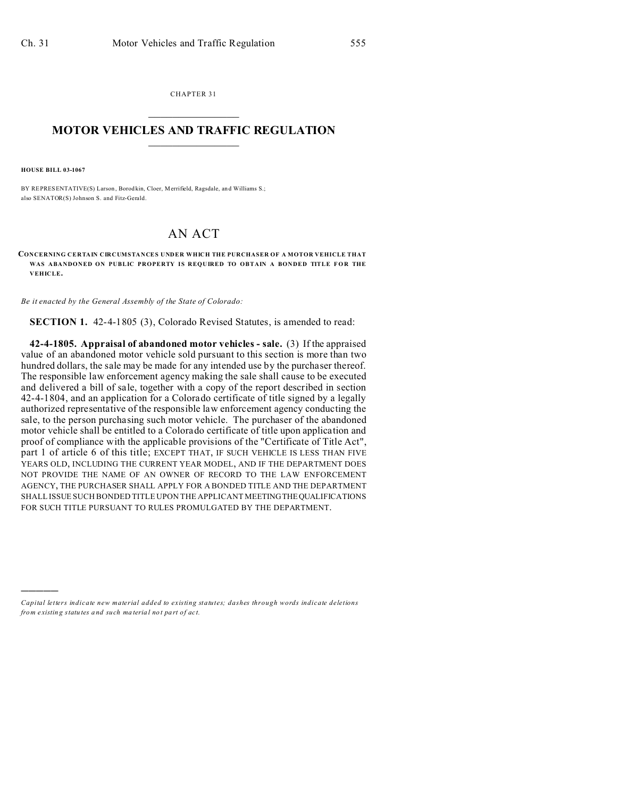CHAPTER 31  $\overline{\phantom{a}}$  , where  $\overline{\phantom{a}}$ 

## **MOTOR VEHICLES AND TRAFFIC REGULATION**  $\frac{1}{2}$  ,  $\frac{1}{2}$  ,  $\frac{1}{2}$  ,  $\frac{1}{2}$  ,  $\frac{1}{2}$  ,  $\frac{1}{2}$  ,  $\frac{1}{2}$

**HOUSE BILL 03-1067**

)))))

BY REPRESENTATIVE(S) Larson, Borodkin, Cloer, Merrifield, Ragsdale, and Williams S.; also SENATOR(S) Johnson S. and Fitz-Gerald.

## AN ACT

**CONCERNING CERTAIN CIRCUMSTANCES UNDER WHICH THE PURCHASER OF A MOTOR VEHICLE THAT WAS ABANDONED ON PUBLIC PROPERTY IS REQUIRED TO OBTAIN A BONDED TITLE FOR THE VEHICLE.**

*Be it enacted by the General Assembly of the State of Colorado:*

**SECTION 1.** 42-4-1805 (3), Colorado Revised Statutes, is amended to read:

**42-4-1805. Appraisal of abandoned motor vehicles - sale.** (3) If the appraised value of an abandoned motor vehicle sold pursuant to this section is more than two hundred dollars, the sale may be made for any intended use by the purchaser thereof. The responsible law enforcement agency making the sale shall cause to be executed and delivered a bill of sale, together with a copy of the report described in section 42-4-1804, and an application for a Colorado certificate of title signed by a legally authorized representative of the responsible law enforcement agency conducting the sale, to the person purchasing such motor vehicle. The purchaser of the abandoned motor vehicle shall be entitled to a Colorado certificate of title upon application and proof of compliance with the applicable provisions of the "Certificate of Title Act", part 1 of article 6 of this title; EXCEPT THAT, IF SUCH VEHICLE IS LESS THAN FIVE YEARS OLD, INCLUDING THE CURRENT YEAR MODEL, AND IF THE DEPARTMENT DOES NOT PROVIDE THE NAME OF AN OWNER OF RECORD TO THE LAW ENFORCEMENT AGENCY, THE PURCHASER SHALL APPLY FOR A BONDED TITLE AND THE DEPARTMENT SHALL ISSUE SUCH BONDED TITLE UPON THE APPLICANT MEETINGTHEQUALIFICATIONS FOR SUCH TITLE PURSUANT TO RULES PROMULGATED BY THE DEPARTMENT.

*Capital letters indicate new material added to existing statutes; dashes through words indicate deletions from e xistin g statu tes a nd such ma teria l no t pa rt of ac t.*